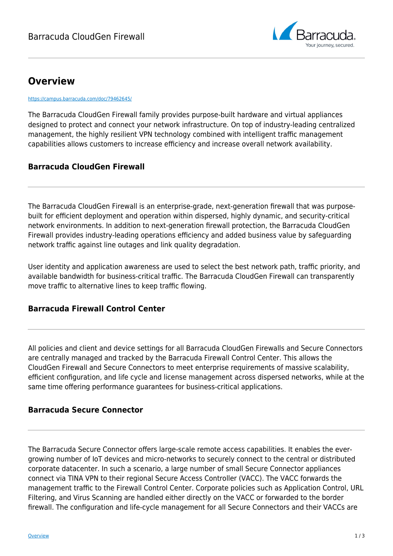

# **Overview**

<https://campus.barracuda.com/doc/79462645/>

The Barracuda CloudGen Firewall family provides purpose-built hardware and virtual appliances designed to protect and connect your network infrastructure. On top of industry-leading centralized management, the highly resilient VPN technology combined with intelligent traffic management capabilities allows customers to increase efficiency and increase overall network availability.

## **Barracuda CloudGen Firewall**

The Barracuda CloudGen Firewall is an enterprise-grade, next-generation firewall that was purposebuilt for efficient deployment and operation within dispersed, highly dynamic, and security-critical network environments. In addition to next-generation firewall protection, the Barracuda CloudGen Firewall provides industry-leading operations efficiency and added business value by safeguarding network traffic against line outages and link quality degradation.

User identity and application awareness are used to select the best network path, traffic priority, and available bandwidth for business-critical traffic. The Barracuda CloudGen Firewall can transparently move traffic to alternative lines to keep traffic flowing.

#### **Barracuda Firewall Control Center**

All policies and client and device settings for all Barracuda CloudGen Firewalls and Secure Connectors are centrally managed and tracked by the Barracuda Firewall Control Center. This allows the CloudGen Firewall and Secure Connectors to meet enterprise requirements of massive scalability, efficient configuration, and life cycle and license management across dispersed networks, while at the same time offering performance guarantees for business-critical applications.

## **Barracuda Secure Connector**

The Barracuda Secure Connector offers large-scale remote access capabilities. It enables the evergrowing number of IoT devices and micro-networks to securely connect to the central or distributed corporate datacenter. In such a scenario, a large number of small Secure Connector appliances connect via TINA VPN to their regional Secure Access Controller (VACC). The VACC forwards the management traffic to the Firewall Control Center. Corporate policies such as Application Control, URL Filtering, and Virus Scanning are handled either directly on the VACC or forwarded to the border firewall. The configuration and life-cycle management for all Secure Connectors and their VACCs are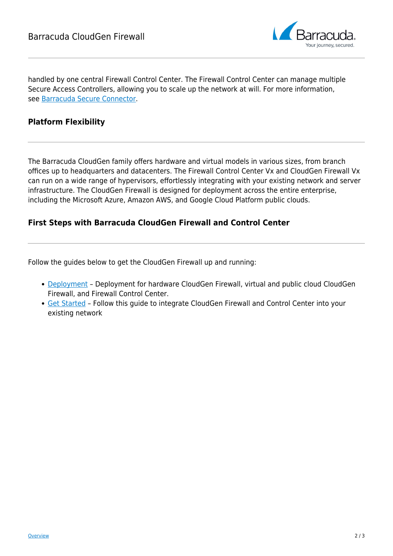

handled by one central Firewall Control Center. The Firewall Control Center can manage multiple Secure Access Controllers, allowing you to scale up the network at will. For more information, see [Barracuda Secure Connector.](http://campus.barracuda.com/doc/91128292/)

#### **Platform Flexibility**

The Barracuda CloudGen family offers hardware and virtual models in various sizes, from branch offices up to headquarters and datacenters. The Firewall Control Center Vx and CloudGen Firewall Vx can run on a wide range of hypervisors, effortlessly integrating with your existing network and server infrastructure. The CloudGen Firewall is designed for deployment across the entire enterprise, including the Microsoft Azure, Amazon AWS, and Google Cloud Platform public clouds.

#### **First Steps with Barracuda CloudGen Firewall and Control Center**

Follow the guides below to get the CloudGen Firewall up and running:

- [Deployment](http://campus.barracuda.com/doc/79463317/) Deployment for hardware CloudGen Firewall, virtual and public cloud CloudGen Firewall, and Firewall Control Center.
- **Get Started** Follow this guide to integrate CloudGen Firewall and Control Center into your existing network